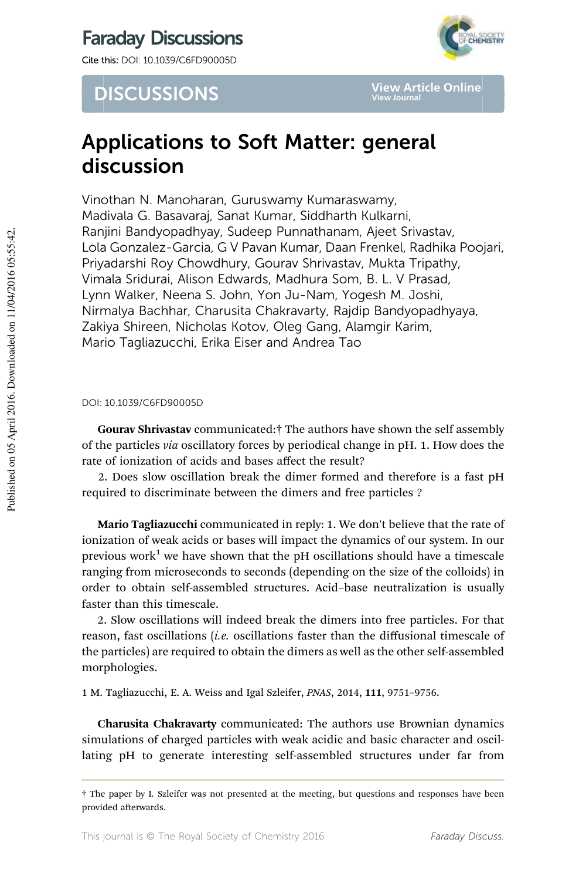Cite this: DOI: 10.1039/C6FD90005D

# **DISCUSSIONS**



**View Article Online View Journal**

# Applications to Soft Matter: general discussion

Vinothan N. Manoharan, Guruswamy Kumaraswamy, Madivala G. Basavaraj, Sanat Kumar, Siddharth Kulkarni, Ranjini Bandyopadhyay, Sudeep Punnathanam, Ajeet Srivastav, Lola Gonzalez-Garcia, G V Pavan Kumar, Daan Frenkel, Radhika Poojari, Priyadarshi Roy Chowdhury, Gourav Shrivastav, Mukta Tripathy, Vimala Sridurai, Alison Edwards, Madhura Som, B. L. V Prasad, Lynn Walker, Neena S. John, Yon Ju-Nam, Yogesh M. Joshi, Nirmalya Bachhar, Charusita Chakravarty, Rajdip Bandyopadhyaya, Zakiya Shireen, Nicholas Kotov, Oleg Gang, Alamgir Karim, Mario Tagliazucchi, Erika Eiser and Andrea Tao

# DOI: 10.1039/C6FD90005D

Gourav Shrivastav communicated:† The authors have shown the self assembly of the particles *via* oscillatory forces by periodical change in pH. 1. How does the rate of ionization of acids and bases affect the result?

2. Does slow oscillation break the dimer formed and therefore is a fast pH required to discriminate between the dimers and free particles ?

Mario Tagliazucchi communicated in reply: 1. We don't believe that the rate of ionization of weak acids or bases will impact the dynamics of our system. In our previous work<sup>1</sup> we have shown that the pH oscillations should have a timescale ranging from microseconds to seconds (depending on the size of the colloids) in order to obtain self-assembled structures. Acid–base neutralization is usually faster than this timescale.

2. Slow oscillations will indeed break the dimers into free particles. For that reason, fast oscillations (*i.e.* oscillations faster than the diffusional timescale of the particles) are required to obtain the dimers as well as the other self-assembled morphologies.

1 M. Tagliazucchi, E. A. Weiss and Igal Szleifer, *PNAS*, 2014, 111, 9751–9756.

Charusita Chakravarty communicated: The authors use Brownian dynamics simulations of charged particles with weak acidic and basic character and oscillating pH to generate interesting self-assembled structures under far from

<sup>†</sup> The paper by I. Szleifer was not presented at the meeting, but questions and responses have been provided afterwards.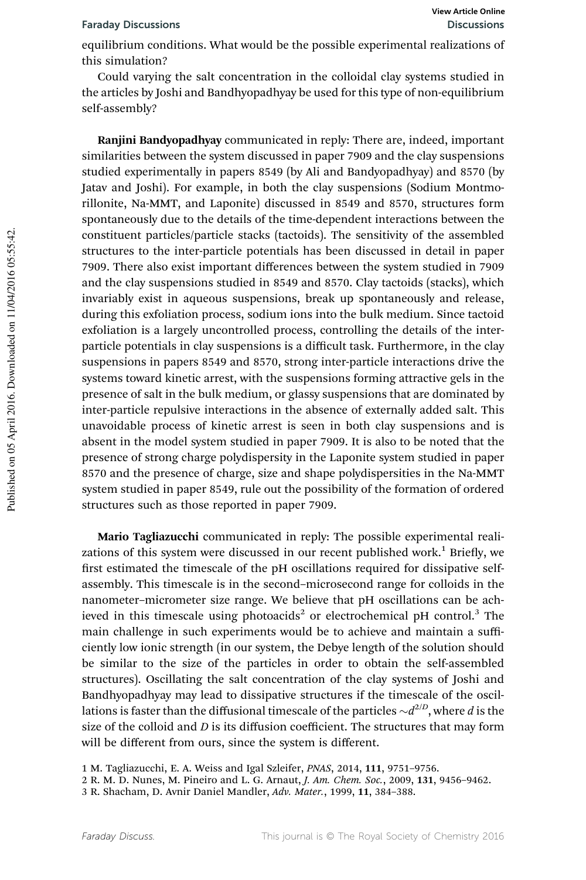equilibrium conditions. What would be the possible experimental realizations of this simulation?

Could varying the salt concentration in the colloidal clay systems studied in the articles by Joshi and Bandhyopadhyay be used for this type of non-equilibrium self-assembly?

Ranjini Bandyopadhyay communicated in reply: There are, indeed, important similarities between the system discussed in paper 7909 and the clay suspensions studied experimentally in papers 8549 (by Ali and Bandyopadhyay) and 8570 (by Jatav and Joshi). For example, in both the clay suspensions (Sodium Montmorillonite, Na-MMT, and Laponite) discussed in 8549 and 8570, structures form spontaneously due to the details of the time-dependent interactions between the constituent particles/particle stacks (tactoids). The sensitivity of the assembled structures to the inter-particle potentials has been discussed in detail in paper 7909. There also exist important differences between the system studied in 7909 and the clay suspensions studied in 8549 and 8570. Clay tactoids (stacks), which invariably exist in aqueous suspensions, break up spontaneously and release, during this exfoliation process, sodium ions into the bulk medium. Since tactoid exfoliation is a largely uncontrolled process, controlling the details of the interparticle potentials in clay suspensions is a difficult task. Furthermore, in the clay suspensions in papers 8549 and 8570, strong inter-particle interactions drive the systems toward kinetic arrest, with the suspensions forming attractive gels in the presence of salt in the bulk medium, or glassy suspensions that are dominated by inter-particle repulsive interactions in the absence of externally added salt. This unavoidable process of kinetic arrest is seen in both clay suspensions and is absent in the model system studied in paper 7909. It is also to be noted that the presence of strong charge polydispersity in the Laponite system studied in paper 8570 and the presence of charge, size and shape polydispersities in the Na-MMT system studied in paper 8549, rule out the possibility of the formation of ordered structures such as those reported in paper 7909.

Mario Tagliazucchi communicated in reply: The possible experimental realizations of this system were discussed in our recent published work.<sup>1</sup> Briefly, we first estimated the timescale of the pH oscillations required for dissipative selfassembly. This timescale is in the second–microsecond range for colloids in the nanometer–micrometer size range. We believe that pH oscillations can be achieved in this timescale using photoacids<sup>2</sup> or electrochemical pH control.<sup>3</sup> The main challenge in such experiments would be to achieve and maintain a sufficiently low ionic strength (in our system, the Debye length of the solution should be similar to the size of the particles in order to obtain the self-assembled structures). Oscillating the salt concentration of the clay systems of Joshi and Bandhyopadhyay may lead to dissipative structures if the timescale of the oscillations is faster than the diffusional timescale of the particles  ${\sim}d^{2/D},$  where  $d$  is the size of the colloid and *D* is its diffusion coefficient. The structures that may form will be different from ours, since the system is different.

<sup>1</sup> M. Tagliazucchi, E. A. Weiss and Igal Szleifer, *PNAS*, 2014, 111, 9751–9756.

<sup>2</sup> R. M. D. Nunes, M. Pineiro and L. G. Arnaut, *J. Am. Chem. Soc.*, 2009, 131, 9456–9462.

<sup>3</sup> R. Shacham, D. Avnir Daniel Mandler, *Adv. Mater.*, 1999, 11, 384–388.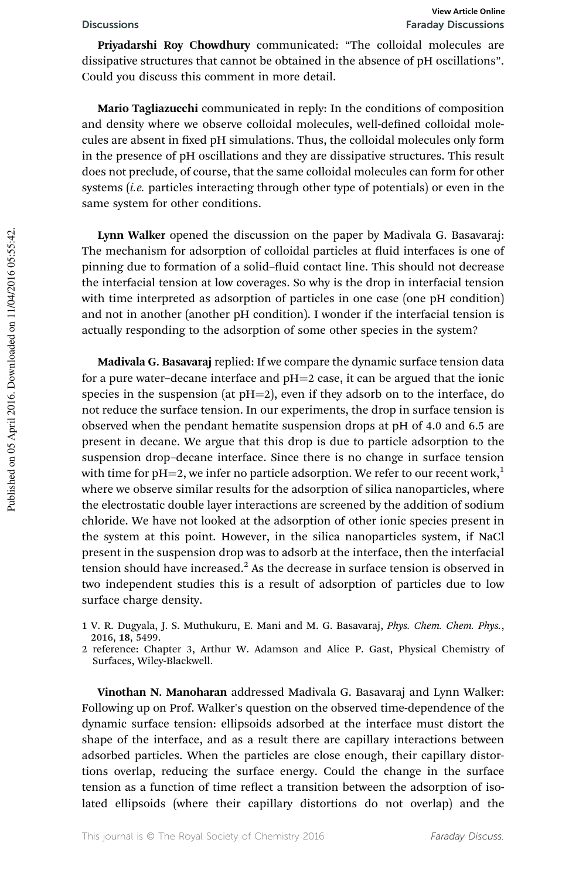Priyadarshi Roy Chowdhury communicated: "The colloidal molecules are dissipative structures that cannot be obtained in the absence of pH oscillations". Could you discuss this comment in more detail.

Mario Tagliazucchi communicated in reply: In the conditions of composition and density where we observe colloidal molecules, well-defined colloidal molecules are absent in fixed pH simulations. Thus, the colloidal molecules only form in the presence of pH oscillations and they are dissipative structures. This result does not preclude, of course, that the same colloidal molecules can form for other systems (*i.e.* particles interacting through other type of potentials) or even in the same system for other conditions.

Lynn Walker opened the discussion on the paper by Madivala G. Basavaraj: The mechanism for adsorption of colloidal particles at fluid interfaces is one of pinning due to formation of a solid–fluid contact line. This should not decrease the interfacial tension at low coverages. So why is the drop in interfacial tension with time interpreted as adsorption of particles in one case (one pH condition) and not in another (another pH condition). I wonder if the interfacial tension is actually responding to the adsorption of some other species in the system?

Madivala G. Basavaraj replied: If we compare the dynamic surface tension data for a pure water–decane interface and  $pH=2$  case, it can be argued that the ionic species in the suspension (at  $pH=2$ ), even if they adsorb on to the interface, do not reduce the surface tension. In our experiments, the drop in surface tension is observed when the pendant hematite suspension drops at pH of 4.0 and 6.5 are present in decane. We argue that this drop is due to particle adsorption to the suspension drop–decane interface. Since there is no change in surface tension with time for  $pH=2$ , we infer no particle adsorption. We refer to our recent work,<sup>1</sup> where we observe similar results for the adsorption of silica nanoparticles, where the electrostatic double layer interactions are screened by the addition of sodium chloride. We have not looked at the adsorption of other ionic species present in the system at this point. However, in the silica nanoparticles system, if NaCl present in the suspension drop was to adsorb at the interface, then the interfacial tension should have increased.<sup>2</sup> As the decrease in surface tension is observed in two independent studies this is a result of adsorption of particles due to low surface charge density.

1 V. R. Dugyala, J. S. Muthukuru, E. Mani and M. G. Basavaraj, *Phys. Chem. Chem. Phys.*, 2016, 18, 5499.

2 reference: Chapter 3, Arthur W. Adamson and Alice P. Gast, Physical Chemistry of Surfaces, Wiley-Blackwell.

Vinothan N. Manoharan addressed Madivala G. Basavaraj and Lynn Walker: Following up on Prof. Walker's question on the observed time-dependence of the dynamic surface tension: ellipsoids adsorbed at the interface must distort the shape of the interface, and as a result there are capillary interactions between adsorbed particles. When the particles are close enough, their capillary distortions overlap, reducing the surface energy. Could the change in the surface tension as a function of time reflect a transition between the adsorption of isolated ellipsoids (where their capillary distortions do not overlap) and the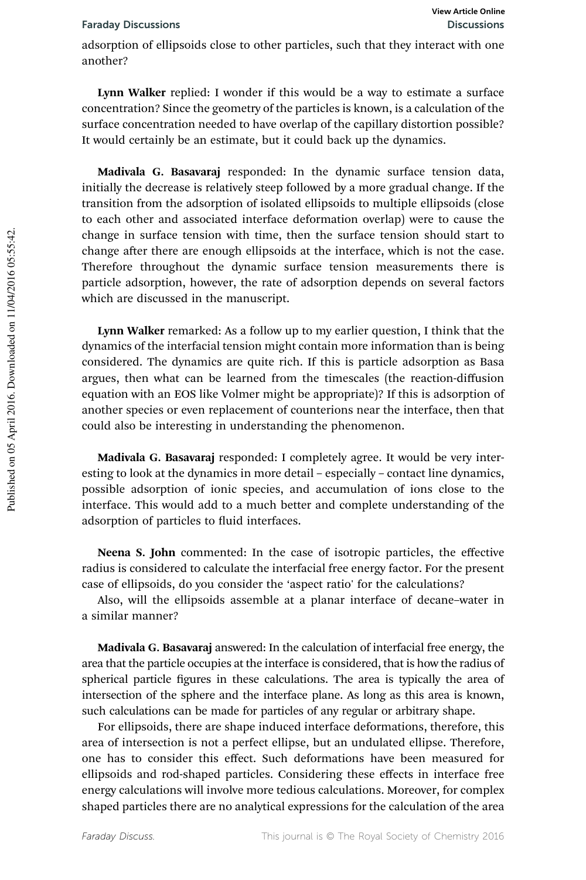adsorption of ellipsoids close to other particles, such that they interact with one another?

Lynn Walker replied: I wonder if this would be a way to estimate a surface concentration? Since the geometry of the particles is known, is a calculation of the surface concentration needed to have overlap of the capillary distortion possible? It would certainly be an estimate, but it could back up the dynamics.

Madivala G. Basavaraj responded: In the dynamic surface tension data, initially the decrease is relatively steep followed by a more gradual change. If the transition from the adsorption of isolated ellipsoids to multiple ellipsoids (close to each other and associated interface deformation overlap) were to cause the change in surface tension with time, then the surface tension should start to change after there are enough ellipsoids at the interface, which is not the case. Therefore throughout the dynamic surface tension measurements there is particle adsorption, however, the rate of adsorption depends on several factors which are discussed in the manuscript.

Lynn Walker remarked: As a follow up to my earlier question, I think that the dynamics of the interfacial tension might contain more information than is being considered. The dynamics are quite rich. If this is particle adsorption as Basa argues, then what can be learned from the timescales (the reaction-diffusion equation with an EOS like Volmer might be appropriate)? If this is adsorption of another species or even replacement of counterions near the interface, then that could also be interesting in understanding the phenomenon.

Madivala G. Basavaraj responded: I completely agree. It would be very interesting to look at the dynamics in more detail – especially – contact line dynamics, possible adsorption of ionic species, and accumulation of ions close to the interface. This would add to a much better and complete understanding of the adsorption of particles to fluid interfaces.

Neena S. John commented: In the case of isotropic particles, the effective radius is considered to calculate the interfacial free energy factor. For the present case of ellipsoids, do you consider the 'aspect ratio' for the calculations?

Also, will the ellipsoids assemble at a planar interface of decane–water in a similar manner?

Madivala G. Basavaraj answered: In the calculation of interfacial free energy, the area that the particle occupies at the interface is considered, that is how the radius of spherical particle figures in these calculations. The area is typically the area of intersection of the sphere and the interface plane. As long as this area is known, such calculations can be made for particles of any regular or arbitrary shape.

For ellipsoids, there are shape induced interface deformations, therefore, this area of intersection is not a perfect ellipse, but an undulated ellipse. Therefore, one has to consider this effect. Such deformations have been measured for ellipsoids and rod-shaped particles. Considering these effects in interface free energy calculations will involve more tedious calculations. Moreover, for complex shaped particles there are no analytical expressions for the calculation of the area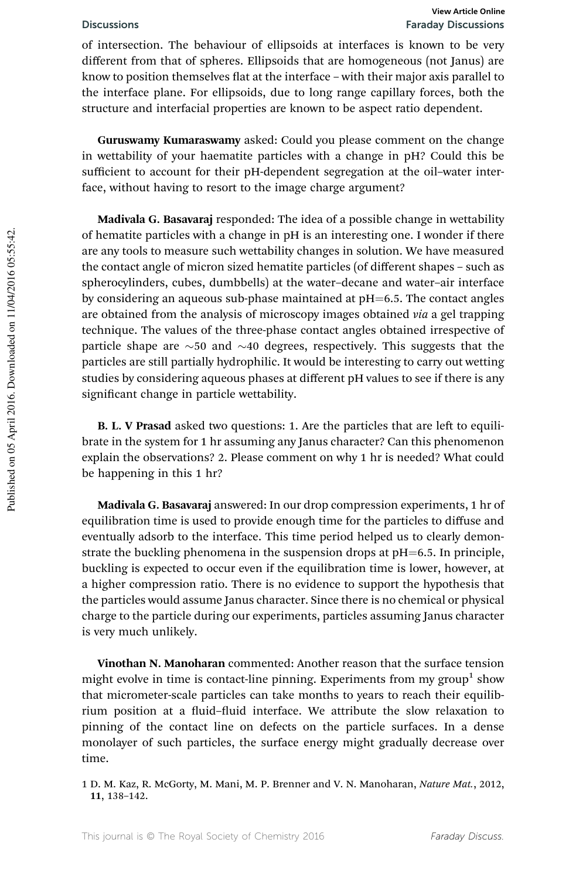of intersection. The behaviour of ellipsoids at interfaces is known to be very different from that of spheres. Ellipsoids that are homogeneous (not Janus) are know to position themselves flat at the interface – with their major axis parallel to the interface plane. For ellipsoids, due to long range capillary forces, both the structure and interfacial properties are known to be aspect ratio dependent.

Guruswamy Kumaraswamy asked: Could you please comment on the change in wettability of your haematite particles with a change in pH? Could this be sufficient to account for their pH-dependent segregation at the oil–water interface, without having to resort to the image charge argument?

Madivala G. Basavaraj responded: The idea of a possible change in wettability of hematite particles with a change in pH is an interesting one. I wonder if there are any tools to measure such wettability changes in solution. We have measured the contact angle of micron sized hematite particles (of different shapes – such as spherocylinders, cubes, dumbbells) at the water–decane and water–air interface by considering an aqueous sub-phase maintained at  $pH=6.5$ . The contact angles are obtained from the analysis of microscopy images obtained *via* a gel trapping technique. The values of the three-phase contact angles obtained irrespective of particle shape are  $\sim$  50 and  $\sim$  40 degrees, respectively. This suggests that the particles are still partially hydrophilic. It would be interesting to carry out wetting studies by considering aqueous phases at different pH values to see if there is any significant change in particle wettability.

B. L. V Prasad asked two questions: 1. Are the particles that are left to equilibrate in the system for 1 hr assuming any Janus character? Can this phenomenon explain the observations? 2. Please comment on why 1 hr is needed? What could be happening in this 1 hr?

Madivala G. Basavaraj answered: In our drop compression experiments, 1 hr of equilibration time is used to provide enough time for the particles to diffuse and eventually adsorb to the interface. This time period helped us to clearly demonstrate the buckling phenomena in the suspension drops at  $pH=6.5$ . In principle, buckling is expected to occur even if the equilibration time is lower, however, at a higher compression ratio. There is no evidence to support the hypothesis that the particles would assume Janus character. Since there is no chemical or physical charge to the particle during our experiments, particles assuming Janus character is very much unlikely.

Vinothan N. Manoharan commented: Another reason that the surface tension might evolve in time is contact-line pinning. Experiments from my group<sup>1</sup> show that micrometer-scale particles can take months to years to reach their equilibrium position at a fluid-fluid interface. We attribute the slow relaxation to pinning of the contact line on defects on the particle surfaces. In a dense monolayer of such particles, the surface energy might gradually decrease over time.

<sup>1</sup> D. M. Kaz, R. McGorty, M. Mani, M. P. Brenner and V. N. Manoharan, *Nature Mat.*, 2012, 11, 138–142.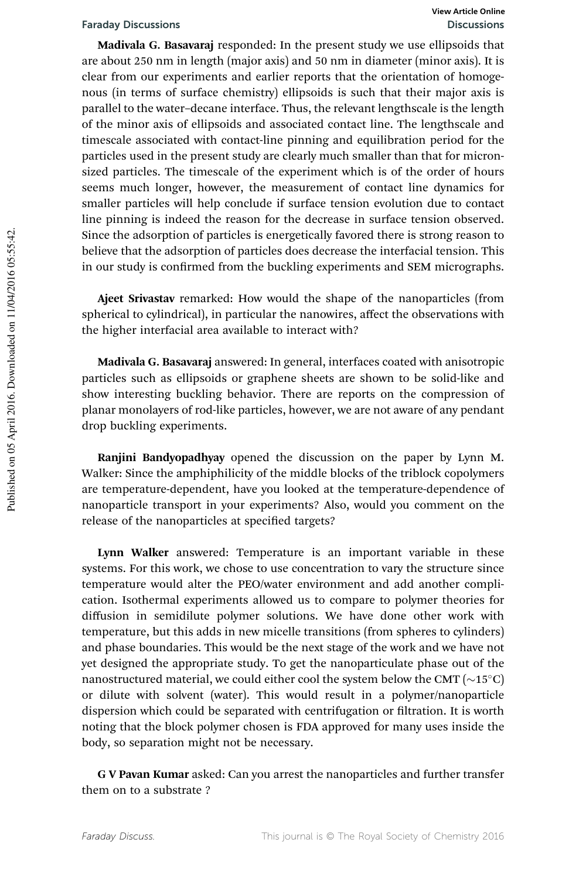Madivala G. Basavaraj responded: In the present study we use ellipsoids that are about 250 nm in length (major axis) and 50 nm in diameter (minor axis). It is clear from our experiments and earlier reports that the orientation of homogenous (in terms of surface chemistry) ellipsoids is such that their major axis is parallel to the water–decane interface. Thus, the relevant lengthscale is the length of the minor axis of ellipsoids and associated contact line. The lengthscale and timescale associated with contact-line pinning and equilibration period for the particles used in the present study are clearly much smaller than that for micronsized particles. The timescale of the experiment which is of the order of hours seems much longer, however, the measurement of contact line dynamics for smaller particles will help conclude if surface tension evolution due to contact line pinning is indeed the reason for the decrease in surface tension observed. Since the adsorption of particles is energetically favored there is strong reason to believe that the adsorption of particles does decrease the interfacial tension. This in our study is confirmed from the buckling experiments and SEM micrographs.

Ajeet Srivastav remarked: How would the shape of the nanoparticles (from spherical to cylindrical), in particular the nanowires, affect the observations with the higher interfacial area available to interact with?

Madivala G. Basavaraj answered: In general, interfaces coated with anisotropic particles such as ellipsoids or graphene sheets are shown to be solid-like and show interesting buckling behavior. There are reports on the compression of planar monolayers of rod-like particles, however, we are not aware of any pendant drop buckling experiments.

Ranjini Bandyopadhyay opened the discussion on the paper by Lynn M. Walker: Since the amphiphilicity of the middle blocks of the triblock copolymers are temperature-dependent, have you looked at the temperature-dependence of nanoparticle transport in your experiments? Also, would you comment on the release of the nanoparticles at specified targets?

Lynn Walker answered: Temperature is an important variable in these systems. For this work, we chose to use concentration to vary the structure since temperature would alter the PEO/water environment and add another complication. Isothermal experiments allowed us to compare to polymer theories for diffusion in semidilute polymer solutions. We have done other work with temperature, but this adds in new micelle transitions (from spheres to cylinders) and phase boundaries. This would be the next stage of the work and we have not yet designed the appropriate study. To get the nanoparticulate phase out of the nanostructured material, we could either cool the system below the CMT  $(\sim15^{\circ}C)$ or dilute with solvent (water). This would result in a polymer/nanoparticle dispersion which could be separated with centrifugation or filtration. It is worth noting that the block polymer chosen is FDA approved for many uses inside the body, so separation might not be necessary.

G V Pavan Kumar asked: Can you arrest the nanoparticles and further transfer them on to a substrate ?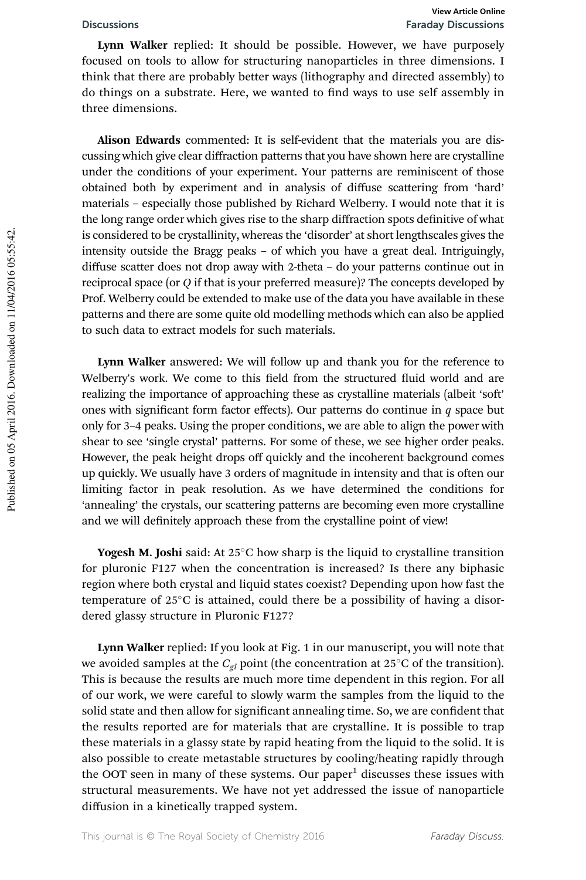Lynn Walker replied: It should be possible. However, we have purposely focused on tools to allow for structuring nanoparticles in three dimensions. I think that there are probably better ways (lithography and directed assembly) to do things on a substrate. Here, we wanted to find ways to use self assembly in three dimensions.

Alison Edwards commented: It is self-evident that the materials you are discussing which give clear diffraction patterns that you have shown here are crystalline under the conditions of your experiment. Your patterns are reminiscent of those obtained both by experiment and in analysis of diffuse scattering from 'hard' materials – especially those published by Richard Welberry. I would note that it is the long range order which gives rise to the sharp diffraction spots definitive of what is considered to be crystallinity, whereas the 'disorder' at short lengthscales gives the intensity outside the Bragg peaks – of which you have a great deal. Intriguingly, diffuse scatter does not drop away with 2-theta – do your patterns continue out in reciprocal space (or *Q* if that is your preferred measure)? The concepts developed by Prof. Welberry could be extended to make use of the data you have available in these patterns and there are some quite old modelling methods which can also be applied to such data to extract models for such materials.

Lynn Walker answered: We will follow up and thank you for the reference to Welberry's work. We come to this field from the structured fluid world and are realizing the importance of approaching these as crystalline materials (albeit 'soft' ones with significant form factor effects). Our patterns do continue in  $q$  space but only for 3–4 peaks. Using the proper conditions, we are able to align the power with shear to see 'single crystal' patterns. For some of these, we see higher order peaks. However, the peak height drops off quickly and the incoherent background comes up quickly. We usually have 3 orders of magnitude in intensity and that is often our limiting factor in peak resolution. As we have determined the conditions for 'annealing' the crystals, our scattering patterns are becoming even more crystalline and we will definitely approach these from the crystalline point of view!

Yogesh M. Joshi said: At  $25^{\circ}$ C how sharp is the liquid to crystalline transition for pluronic F127 when the concentration is increased? Is there any biphasic region where both crystal and liquid states coexist? Depending upon how fast the temperature of  $25^{\circ}$ C is attained, could there be a possibility of having a disordered glassy structure in Pluronic F127?

Lynn Walker replied: If you look at Fig. 1 in our manuscript, you will note that we avoided samples at the  $C_{gl}$  point (the concentration at 25°C of the transition). This is because the results are much more time dependent in this region. For all of our work, we were careful to slowly warm the samples from the liquid to the solid state and then allow for significant annealing time. So, we are confident that the results reported are for materials that are crystalline. It is possible to trap these materials in a glassy state by rapid heating from the liquid to the solid. It is also possible to create metastable structures by cooling/heating rapidly through the OOT seen in many of these systems. Our paper<sup>1</sup> discusses these issues with structural measurements. We have not yet addressed the issue of nanoparticle diffusion in a kinetically trapped system.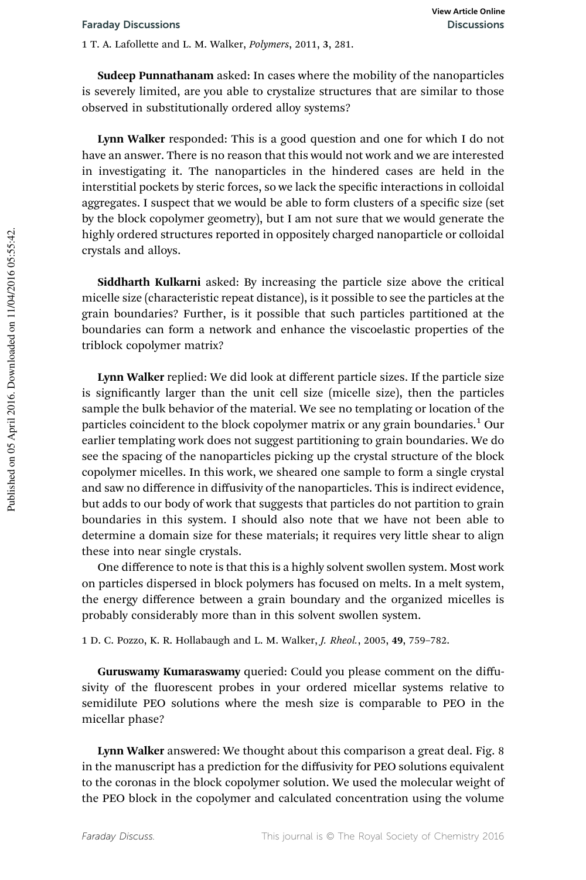1 T. A. Lafollette and L. M. Walker, *Polymers*, 2011, 3, 281.

Sudeep Punnathanam asked: In cases where the mobility of the nanoparticles is severely limited, are you able to crystalize structures that are similar to those observed in substitutionally ordered alloy systems?

Lynn Walker responded: This is a good question and one for which I do not have an answer. There is no reason that this would not work and we are interested in investigating it. The nanoparticles in the hindered cases are held in the interstitial pockets by steric forces, so we lack the specific interactions in colloidal aggregates. I suspect that we would be able to form clusters of a specific size (set by the block copolymer geometry), but I am not sure that we would generate the highly ordered structures reported in oppositely charged nanoparticle or colloidal crystals and alloys.

Siddharth Kulkarni asked: By increasing the particle size above the critical micelle size (characteristic repeat distance), is it possible to see the particles at the grain boundaries? Further, is it possible that such particles partitioned at the boundaries can form a network and enhance the viscoelastic properties of the triblock copolymer matrix?

Lynn Walker replied: We did look at different particle sizes. If the particle size is significantly larger than the unit cell size (micelle size), then the particles sample the bulk behavior of the material. We see no templating or location of the particles coincident to the block copolymer matrix or any grain boundaries.<sup>1</sup> Our earlier templating work does not suggest partitioning to grain boundaries. We do see the spacing of the nanoparticles picking up the crystal structure of the block copolymer micelles. In this work, we sheared one sample to form a single crystal and saw no difference in diffusivity of the nanoparticles. This is indirect evidence, but adds to our body of work that suggests that particles do not partition to grain boundaries in this system. I should also note that we have not been able to determine a domain size for these materials; it requires very little shear to align these into near single crystals.

One difference to note is that this is a highly solvent swollen system. Most work on particles dispersed in block polymers has focused on melts. In a melt system, the energy difference between a grain boundary and the organized micelles is probably considerably more than in this solvent swollen system.

1 D. C. Pozzo, K. R. Hollabaugh and L. M. Walker, *J. Rheol.*, 2005, 49, 759–782.

Guruswamy Kumaraswamy queried: Could you please comment on the diffusivity of the fluorescent probes in your ordered micellar systems relative to semidilute PEO solutions where the mesh size is comparable to PEO in the micellar phase?

Lynn Walker answered: We thought about this comparison a great deal. Fig. 8 in the manuscript has a prediction for the diffusivity for PEO solutions equivalent to the coronas in the block copolymer solution. We used the molecular weight of the PEO block in the copolymer and calculated concentration using the volume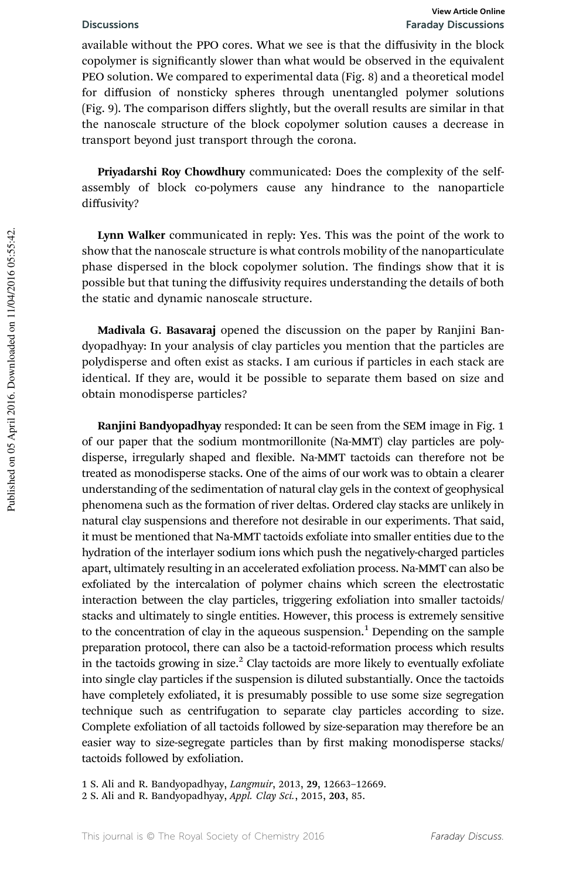available without the PPO cores. What we see is that the diffusivity in the block copolymer is signicantly slower than what would be observed in the equivalent PEO solution. We compared to experimental data (Fig. 8) and a theoretical model for diffusion of nonsticky spheres through unentangled polymer solutions (Fig. 9). The comparison differs slightly, but the overall results are similar in that the nanoscale structure of the block copolymer solution causes a decrease in transport beyond just transport through the corona.

Priyadarshi Roy Chowdhury communicated: Does the complexity of the selfassembly of block co-polymers cause any hindrance to the nanoparticle diffusivity?

Lynn Walker communicated in reply: Yes. This was the point of the work to show that the nanoscale structure is what controls mobility of the nanoparticulate phase dispersed in the block copolymer solution. The findings show that it is possible but that tuning the diffusivity requires understanding the details of both the static and dynamic nanoscale structure.

Madivala G. Basavaraj opened the discussion on the paper by Ranjini Bandyopadhyay: In your analysis of clay particles you mention that the particles are polydisperse and often exist as stacks. I am curious if particles in each stack are identical. If they are, would it be possible to separate them based on size and obtain monodisperse particles?

Ranjini Bandyopadhyay responded: It can be seen from the SEM image in Fig. 1 of our paper that the sodium montmorillonite (Na-MMT) clay particles are polydisperse, irregularly shaped and flexible. Na-MMT tactoids can therefore not be treated as monodisperse stacks. One of the aims of our work was to obtain a clearer understanding of the sedimentation of natural clay gels in the context of geophysical phenomena such as the formation of river deltas. Ordered clay stacks are unlikely in natural clay suspensions and therefore not desirable in our experiments. That said, it must be mentioned that Na-MMT tactoids exfoliate into smaller entities due to the hydration of the interlayer sodium ions which push the negatively-charged particles apart, ultimately resulting in an accelerated exfoliation process. Na-MMT can also be exfoliated by the intercalation of polymer chains which screen the electrostatic interaction between the clay particles, triggering exfoliation into smaller tactoids/ stacks and ultimately to single entities. However, this process is extremely sensitive to the concentration of clay in the aqueous suspension.<sup>1</sup> Depending on the sample preparation protocol, there can also be a tactoid-reformation process which results in the tactoids growing in size. $2$  Clay tactoids are more likely to eventually exfoliate into single clay particles if the suspension is diluted substantially. Once the tactoids have completely exfoliated, it is presumably possible to use some size segregation technique such as centrifugation to separate clay particles according to size. Complete exfoliation of all tactoids followed by size-separation may therefore be an easier way to size-segregate particles than by first making monodisperse stacks/ tactoids followed by exfoliation.

1 S. Ali and R. Bandyopadhyay, *Langmuir*, 2013, 29, 12663–12669.

2 S. Ali and R. Bandyopadhyay, *Appl. Clay Sci.*, 2015, 203, 85.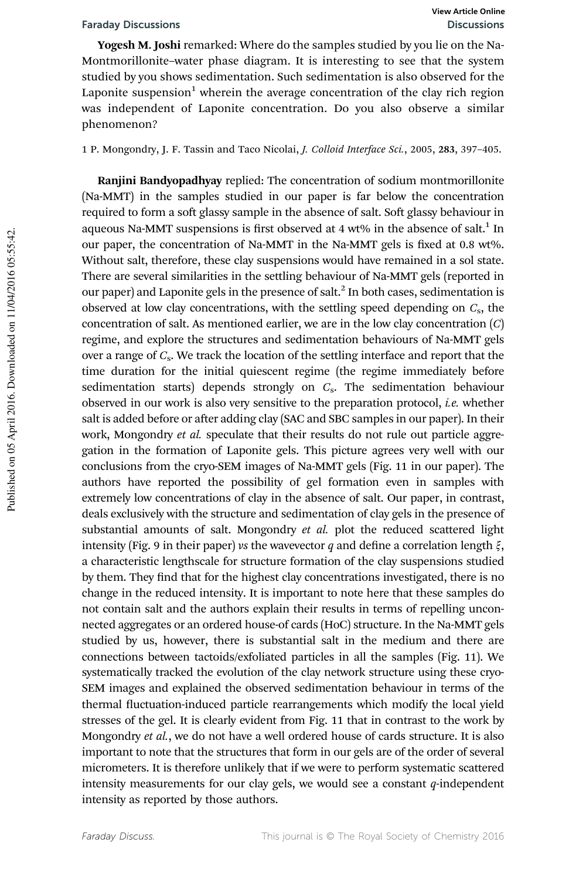Yogesh M. Joshi remarked: Where do the samples studied by you lie on the Na-Montmorillonite–water phase diagram. It is interesting to see that the system studied by you shows sedimentation. Such sedimentation is also observed for the Laponite suspension<sup>1</sup> wherein the average concentration of the clay rich region was independent of Laponite concentration. Do you also observe a similar phenomenon?

1 P. Mongondry, J. F. Tassin and Taco Nicolai, *J. Colloid Interface Sci.*, 2005, 283, 397–405.

Ranjini Bandyopadhyay replied: The concentration of sodium montmorillonite (Na-MMT) in the samples studied in our paper is far below the concentration required to form a soft glassy sample in the absence of salt. Soft glassy behaviour in aqueous Na-MMT suspensions is first observed at 4 wt% in the absence of  $\text{salt.}^1$  In our paper, the concentration of Na-MMT in the Na-MMT gels is fixed at 0.8 wt%. Without salt, therefore, these clay suspensions would have remained in a sol state. There are several similarities in the settling behaviour of Na-MMT gels (reported in our paper) and Laponite gels in the presence of salt.<sup>2</sup> In both cases, sedimentation is observed at low clay concentrations, with the settling speed depending on  $C_{\rm s}$ , the concentration of salt. As mentioned earlier, we are in the low clay concentration (*C*) regime, and explore the structures and sedimentation behaviours of Na-MMT gels over a range of  $C_{\rm s}$ . We track the location of the settling interface and report that the time duration for the initial quiescent regime (the regime immediately before sedimentation starts) depends strongly on *C*<sub>s</sub>. The sedimentation behaviour observed in our work is also very sensitive to the preparation protocol, *i.e.* whether salt is added before or after adding clay (SAC and SBC samples in our paper). In their work, Mongondry *et al.* speculate that their results do not rule out particle aggregation in the formation of Laponite gels. This picture agrees very well with our conclusions from the cryo-SEM images of Na-MMT gels (Fig. 11 in our paper). The authors have reported the possibility of gel formation even in samples with extremely low concentrations of clay in the absence of salt. Our paper, in contrast, deals exclusively with the structure and sedimentation of clay gels in the presence of substantial amounts of salt. Mongondry *et al.* plot the reduced scattered light intensity (Fig. 9 in their paper) *vs* the wavevector *q* and define a correlation length  $\xi$ , a characteristic lengthscale for structure formation of the clay suspensions studied by them. They find that for the highest clay concentrations investigated, there is no change in the reduced intensity. It is important to note here that these samples do not contain salt and the authors explain their results in terms of repelling unconnected aggregates or an ordered house-of cards (HoC) structure. In the Na-MMT gels studied by us, however, there is substantial salt in the medium and there are connections between tactoids/exfoliated particles in all the samples (Fig. 11). We systematically tracked the evolution of the clay network structure using these cryo-SEM images and explained the observed sedimentation behaviour in terms of the thermal fluctuation-induced particle rearrangements which modify the local yield stresses of the gel. It is clearly evident from Fig. 11 that in contrast to the work by Mongondry *et al.*, we do not have a well ordered house of cards structure. It is also important to note that the structures that form in our gels are of the order of several micrometers. It is therefore unlikely that if we were to perform systematic scattered intensity measurements for our clay gels, we would see a constant *q*-independent intensity as reported by those authors.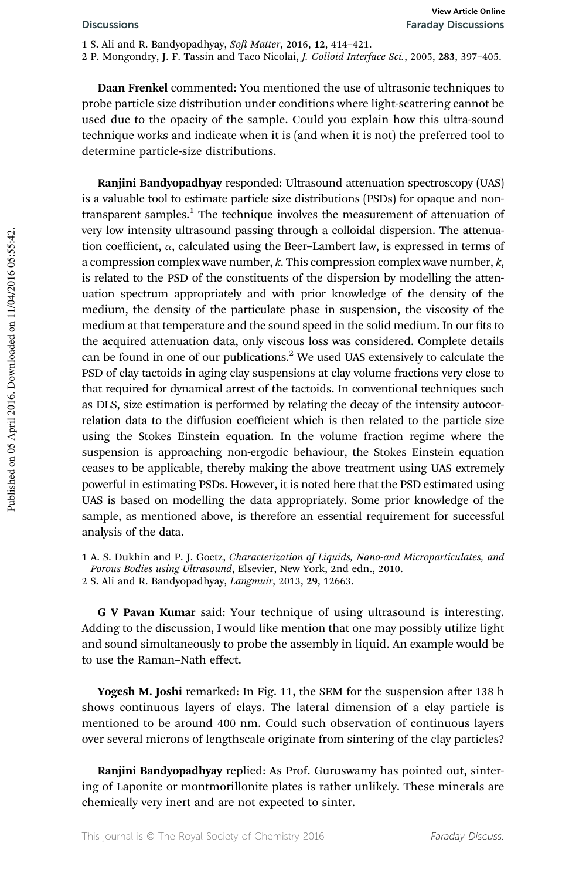1 S. Ali and R. Bandyopadhyay, *Soft Matter*, 2016, 12, 414-421.

**View Article Online**

2 P. Mongondry, J. F. Tassin and Taco Nicolai, *J. Colloid Interface Sci.*, 2005, 283, 397–405.

Daan Frenkel commented: You mentioned the use of ultrasonic techniques to probe particle size distribution under conditions where light-scattering cannot be used due to the opacity of the sample. Could you explain how this ultra-sound technique works and indicate when it is (and when it is not) the preferred tool to determine particle-size distributions.

Ranjini Bandyopadhyay responded: Ultrasound attenuation spectroscopy (UAS) is a valuable tool to estimate particle size distributions (PSDs) for opaque and nontransparent samples.<sup>1</sup> The technique involves the measurement of attenuation of very low intensity ultrasound passing through a colloidal dispersion. The attenuation coefficient,  $\alpha$ , calculated using the Beer–Lambert law, is expressed in terms of a compression complex wave number, *k*. This compression complex wave number, *k*, is related to the PSD of the constituents of the dispersion by modelling the attenuation spectrum appropriately and with prior knowledge of the density of the medium, the density of the particulate phase in suspension, the viscosity of the medium at that temperature and the sound speed in the solid medium. In our fits to the acquired attenuation data, only viscous loss was considered. Complete details can be found in one of our publications.<sup>2</sup> We used UAS extensively to calculate the PSD of clay tactoids in aging clay suspensions at clay volume fractions very close to that required for dynamical arrest of the tactoids. In conventional techniques such as DLS, size estimation is performed by relating the decay of the intensity autocorrelation data to the diffusion coefficient which is then related to the particle size using the Stokes Einstein equation. In the volume fraction regime where the suspension is approaching non-ergodic behaviour, the Stokes Einstein equation ceases to be applicable, thereby making the above treatment using UAS extremely powerful in estimating PSDs. However, it is noted here that the PSD estimated using UAS is based on modelling the data appropriately. Some prior knowledge of the sample, as mentioned above, is therefore an essential requirement for successful analysis of the data.

1 A. S. Dukhin and P. J. Goetz, *Characterization of Liquids, Nano-and Microparticulates, and Porous Bodies using Ultrasound*, Elsevier, New York, 2nd edn., 2010.

2 S. Ali and R. Bandyopadhyay, *Langmuir*, 2013, 29, 12663.

G V Pavan Kumar said: Your technique of using ultrasound is interesting. Adding to the discussion, I would like mention that one may possibly utilize light and sound simultaneously to probe the assembly in liquid. An example would be to use the Raman–Nath effect.

Yogesh M. Joshi remarked: In Fig. 11, the SEM for the suspension after 138 h shows continuous layers of clays. The lateral dimension of a clay particle is mentioned to be around 400 nm. Could such observation of continuous layers over several microns of lengthscale originate from sintering of the clay particles?

Ranjini Bandyopadhyay replied: As Prof. Guruswamy has pointed out, sintering of Laponite or montmorillonite plates is rather unlikely. These minerals are chemically very inert and are not expected to sinter.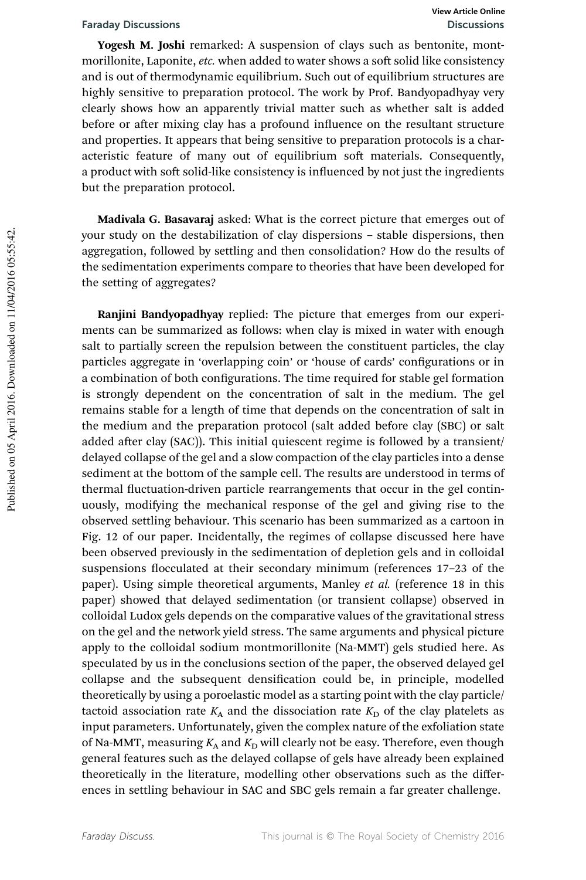Yogesh M. Joshi remarked: A suspension of clays such as bentonite, montmorillonite, Laponite, *etc.* when added to water shows a soft solid like consistency and is out of thermodynamic equilibrium. Such out of equilibrium structures are highly sensitive to preparation protocol. The work by Prof. Bandyopadhyay very clearly shows how an apparently trivial matter such as whether salt is added before or after mixing clay has a profound influence on the resultant structure and properties. It appears that being sensitive to preparation protocols is a characteristic feature of many out of equilibrium soft materials. Consequently, a product with soft solid-like consistency is influenced by not just the ingredients but the preparation protocol.

Madivala G. Basavaraj asked: What is the correct picture that emerges out of your study on the destabilization of clay dispersions – stable dispersions, then aggregation, followed by settling and then consolidation? How do the results of the sedimentation experiments compare to theories that have been developed for the setting of aggregates?

Ranjini Bandyopadhyay replied: The picture that emerges from our experiments can be summarized as follows: when clay is mixed in water with enough salt to partially screen the repulsion between the constituent particles, the clay particles aggregate in 'overlapping coin' or 'house of cards' configurations or in a combination of both configurations. The time required for stable gel formation is strongly dependent on the concentration of salt in the medium. The gel remains stable for a length of time that depends on the concentration of salt in the medium and the preparation protocol (salt added before clay (SBC) or salt added after clay (SAC)). This initial quiescent regime is followed by a transient/ delayed collapse of the gel and a slow compaction of the clay particles into a dense sediment at the bottom of the sample cell. The results are understood in terms of thermal fluctuation-driven particle rearrangements that occur in the gel continuously, modifying the mechanical response of the gel and giving rise to the observed settling behaviour. This scenario has been summarized as a cartoon in Fig. 12 of our paper. Incidentally, the regimes of collapse discussed here have been observed previously in the sedimentation of depletion gels and in colloidal suspensions flocculated at their secondary minimum (references 17–23 of the paper). Using simple theoretical arguments, Manley *et al.* (reference 18 in this paper) showed that delayed sedimentation (or transient collapse) observed in colloidal Ludox gels depends on the comparative values of the gravitational stress on the gel and the network yield stress. The same arguments and physical picture apply to the colloidal sodium montmorillonite (Na-MMT) gels studied here. As speculated by us in the conclusions section of the paper, the observed delayed gel collapse and the subsequent densification could be, in principle, modelled theoretically by using a poroelastic model as a starting point with the clay particle/ tactoid association rate  $K_A$  and the dissociation rate  $K_D$  of the clay platelets as input parameters. Unfortunately, given the complex nature of the exfoliation state of Na-MMT, measuring  $K_A$  and  $K_D$  will clearly not be easy. Therefore, even though general features such as the delayed collapse of gels have already been explained theoretically in the literature, modelling other observations such as the differences in settling behaviour in SAC and SBC gels remain a far greater challenge.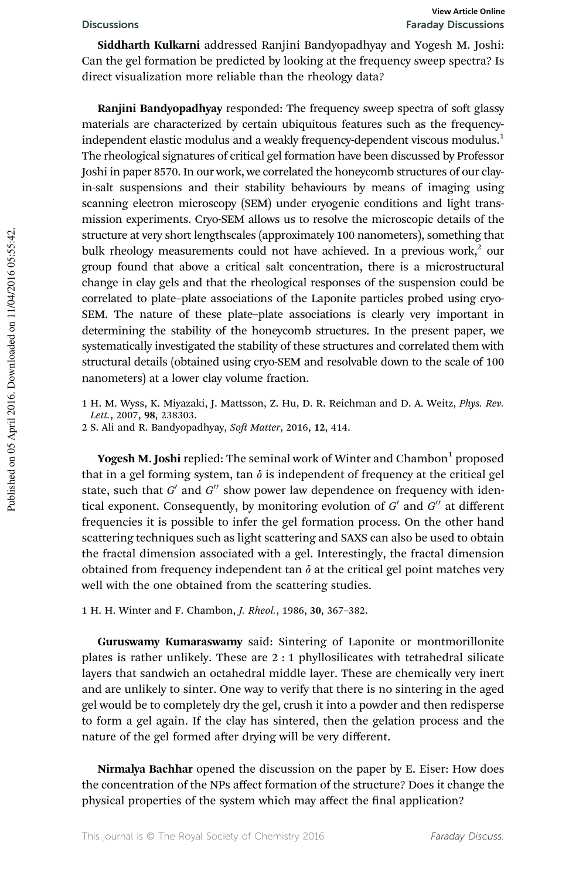Siddharth Kulkarni addressed Ranjini Bandyopadhyay and Yogesh M. Joshi: Can the gel formation be predicted by looking at the frequency sweep spectra? Is direct visualization more reliable than the rheology data?

Ranjini Bandyopadhyay responded: The frequency sweep spectra of soft glassy materials are characterized by certain ubiquitous features such as the frequencyindependent elastic modulus and a weakly frequency-dependent viscous modulus.<sup>1</sup> The rheological signatures of critical gel formation have been discussed by Professor Joshi in paper 8570. In our work, we correlated the honeycomb structures of our clayin-salt suspensions and their stability behaviours by means of imaging using scanning electron microscopy (SEM) under cryogenic conditions and light transmission experiments. Cryo-SEM allows us to resolve the microscopic details of the structure at very short lengthscales (approximately 100 nanometers), something that bulk rheology measurements could not have achieved. In a previous work, $^2$  our group found that above a critical salt concentration, there is a microstructural change in clay gels and that the rheological responses of the suspension could be correlated to plate–plate associations of the Laponite particles probed using cryo-SEM. The nature of these plate–plate associations is clearly very important in determining the stability of the honeycomb structures. In the present paper, we systematically investigated the stability of these structures and correlated them with structural details (obtained using cryo-SEM and resolvable down to the scale of 100 nanometers) at a lower clay volume fraction.

1 H. M. Wyss, K. Miyazaki, J. Mattsson, Z. Hu, D. R. Reichman and D. A. Weitz, *Phys. Rev. Lett.*, 2007, 98, 238303.

2 S. Ali and R. Bandyopadhyay, *Soft Matter*, 2016, 12, 414.

**Yogesh M. Joshi** replied: The seminal work of Winter and Chambon $^1$  proposed that in a gel forming system, tan  $\delta$  is independent of frequency at the critical gel state, such that *G'* and *G''* show power law dependence on frequency with identical exponent. Consequently, by monitoring evolution of *G'* and *G''* at different frequencies it is possible to infer the gel formation process. On the other hand scattering techniques such as light scattering and SAXS can also be used to obtain the fractal dimension associated with a gel. Interestingly, the fractal dimension obtained from frequency independent tan  $\delta$  at the critical gel point matches very well with the one obtained from the scattering studies.

1 H. H. Winter and F. Chambon, *J. Rheol.*, 1986, 30, 367–382.

Guruswamy Kumaraswamy said: Sintering of Laponite or montmorillonite plates is rather unlikely. These are 2 : 1 phyllosilicates with tetrahedral silicate layers that sandwich an octahedral middle layer. These are chemically very inert and are unlikely to sinter. One way to verify that there is no sintering in the aged gel would be to completely dry the gel, crush it into a powder and then redisperse to form a gel again. If the clay has sintered, then the gelation process and the nature of the gel formed after drying will be very different.

Nirmalya Bachhar opened the discussion on the paper by E. Eiser: How does the concentration of the NPs affect formation of the structure? Does it change the physical properties of the system which may affect the final application?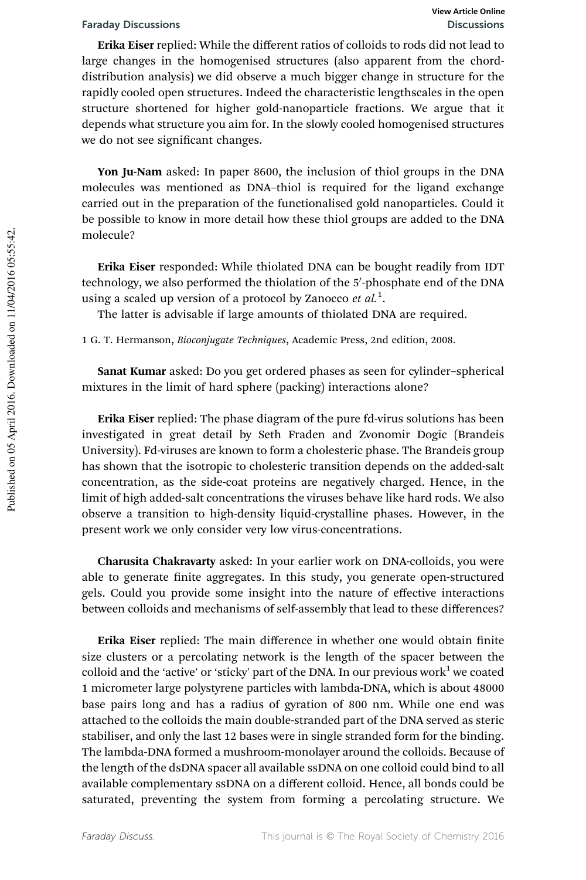Erika Eiser replied: While the different ratios of colloids to rods did not lead to large changes in the homogenised structures (also apparent from the chorddistribution analysis) we did observe a much bigger change in structure for the rapidly cooled open structures. Indeed the characteristic lengthscales in the open structure shortened for higher gold-nanoparticle fractions. We argue that it depends what structure you aim for. In the slowly cooled homogenised structures we do not see significant changes.

Yon Ju-Nam asked: In paper 8600, the inclusion of thiol groups in the DNA molecules was mentioned as DNA–thiol is required for the ligand exchange carried out in the preparation of the functionalised gold nanoparticles. Could it be possible to know in more detail how these thiol groups are added to the DNA molecule?

Erika Eiser responded: While thiolated DNA can be bought readily from IDT technology, we also performed the thiolation of the 5'-phosphate end of the DNA using a scaled up version of a protocol by Zanocco et al.<sup>1</sup>.

The latter is advisable if large amounts of thiolated DNA are required.

1 G. T. Hermanson, *Bioconjugate Techniques*, Academic Press, 2nd edition, 2008.

Sanat Kumar asked: Do you get ordered phases as seen for cylinder–spherical mixtures in the limit of hard sphere (packing) interactions alone?

Erika Eiser replied: The phase diagram of the pure fd-virus solutions has been investigated in great detail by Seth Fraden and Zvonomir Dogic (Brandeis University). Fd-viruses are known to form a cholesteric phase. The Brandeis group has shown that the isotropic to cholesteric transition depends on the added-salt concentration, as the side-coat proteins are negatively charged. Hence, in the limit of high added-salt concentrations the viruses behave like hard rods. We also observe a transition to high-density liquid-crystalline phases. However, in the present work we only consider very low virus-concentrations.

Charusita Chakravarty asked: In your earlier work on DNA-colloids, you were able to generate finite aggregates. In this study, you generate open-structured gels. Could you provide some insight into the nature of effective interactions between colloids and mechanisms of self-assembly that lead to these differences?

Erika Eiser replied: The main difference in whether one would obtain finite size clusters or a percolating network is the length of the spacer between the colloid and the 'active' or 'sticky' part of the DNA. In our previous work<sup>1</sup> we coated 1 micrometer large polystyrene particles with lambda-DNA, which is about 48000 base pairs long and has a radius of gyration of 800 nm. While one end was attached to the colloids the main double-stranded part of the DNA served as steric stabiliser, and only the last 12 bases were in single stranded form for the binding. The lambda-DNA formed a mushroom-monolayer around the colloids. Because of the length of the dsDNA spacer all available ssDNA on one colloid could bind to all available complementary ssDNA on a different colloid. Hence, all bonds could be saturated, preventing the system from forming a percolating structure. We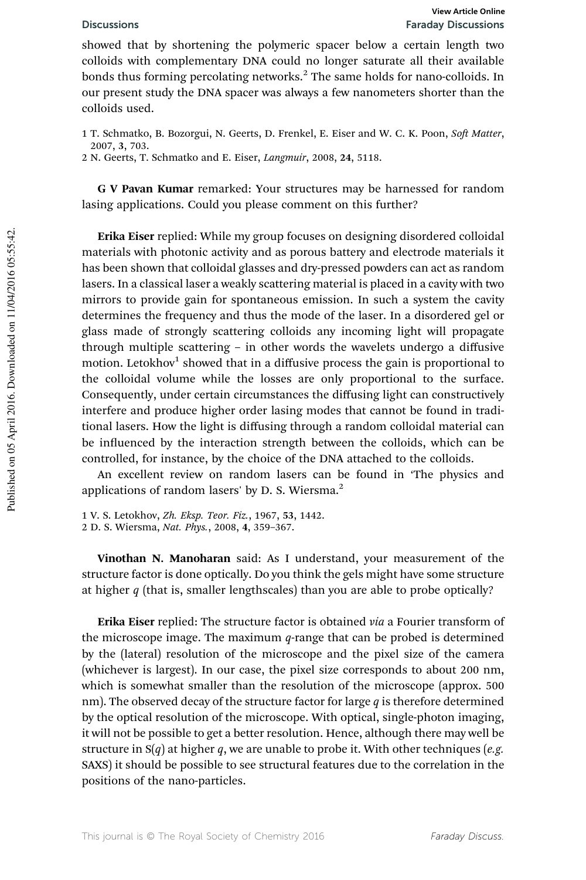showed that by shortening the polymeric spacer below a certain length two colloids with complementary DNA could no longer saturate all their available bonds thus forming percolating networks.<sup>2</sup> The same holds for nano-colloids. In our present study the DNA spacer was always a few nanometers shorter than the colloids used.

1 T. Schmatko, B. Bozorgui, N. Geerts, D. Frenkel, E. Eiser and W. C. K. Poon, Soft Matter, 2007, 3, 703.

2 N. Geerts, T. Schmatko and E. Eiser, *Langmuir*, 2008, 24, 5118.

G V Pavan Kumar remarked: Your structures may be harnessed for random lasing applications. Could you please comment on this further?

Erika Eiser replied: While my group focuses on designing disordered colloidal materials with photonic activity and as porous battery and electrode materials it has been shown that colloidal glasses and dry-pressed powders can act as random lasers. In a classical laser a weakly scattering material is placed in a cavity with two mirrors to provide gain for spontaneous emission. In such a system the cavity determines the frequency and thus the mode of the laser. In a disordered gel or glass made of strongly scattering colloids any incoming light will propagate through multiple scattering – in other words the wavelets undergo a diffusive motion. Letokhov<sup>1</sup> showed that in a diffusive process the gain is proportional to the colloidal volume while the losses are only proportional to the surface. Consequently, under certain circumstances the diffusing light can constructively interfere and produce higher order lasing modes that cannot be found in traditional lasers. How the light is diffusing through a random colloidal material can be influenced by the interaction strength between the colloids, which can be controlled, for instance, by the choice of the DNA attached to the colloids.

An excellent review on random lasers can be found in 'The physics and applications of random lasers' by D. S. Wiersma.<sup>2</sup>

1 V. S. Letokhov, *Zh. Eksp. Teor. Fiz.*, 1967, 53, 1442. 2 D. S. Wiersma, *Nat. Phys.*, 2008, 4, 359–367.

Vinothan N. Manoharan said: As I understand, your measurement of the structure factor is done optically. Do you think the gels might have some structure at higher *q* (that is, smaller lengthscales) than you are able to probe optically?

Erika Eiser replied: The structure factor is obtained *via* a Fourier transform of the microscope image. The maximum *q*-range that can be probed is determined by the (lateral) resolution of the microscope and the pixel size of the camera (whichever is largest). In our case, the pixel size corresponds to about 200 nm, which is somewhat smaller than the resolution of the microscope (approx. 500 nm). The observed decay of the structure factor for large *q* is therefore determined by the optical resolution of the microscope. With optical, single-photon imaging, it will not be possible to get a better resolution. Hence, although there may well be structure in S(*q*) at higher *q*, we are unable to probe it. With other techniques (*e.g.* SAXS) it should be possible to see structural features due to the correlation in the positions of the nano-particles.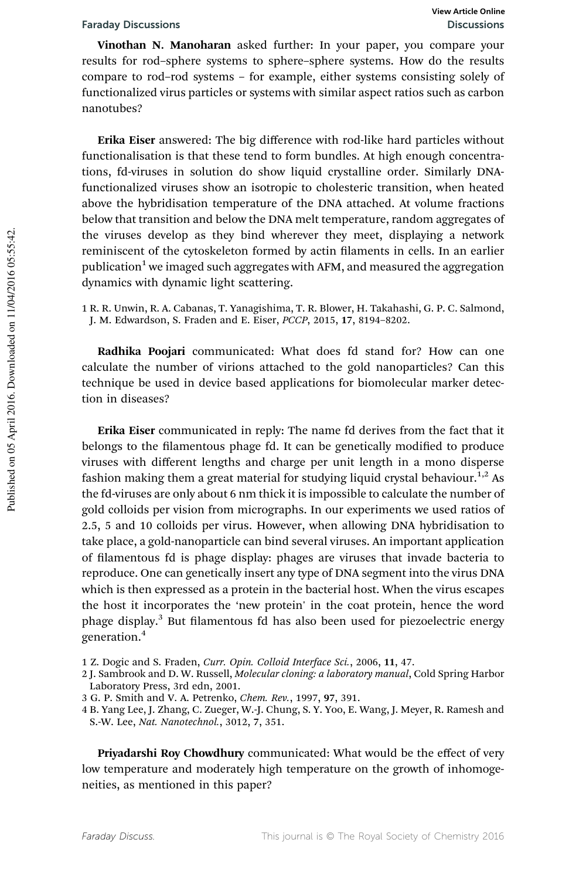Vinothan N. Manoharan asked further: In your paper, you compare your results for rod–sphere systems to sphere–sphere systems. How do the results compare to rod–rod systems – for example, either systems consisting solely of functionalized virus particles or systems with similar aspect ratios such as carbon nanotubes?

Erika Eiser answered: The big difference with rod-like hard particles without functionalisation is that these tend to form bundles. At high enough concentrations, fd-viruses in solution do show liquid crystalline order. Similarly DNAfunctionalized viruses show an isotropic to cholesteric transition, when heated above the hybridisation temperature of the DNA attached. At volume fractions below that transition and below the DNA melt temperature, random aggregates of the viruses develop as they bind wherever they meet, displaying a network reminiscent of the cytoskeleton formed by actin filaments in cells. In an earlier publication<sup>1</sup> we imaged such aggregates with AFM, and measured the aggregation dynamics with dynamic light scattering.

1 R. R. Unwin, R. A. Cabanas, T. Yanagishima, T. R. Blower, H. Takahashi, G. P. C. Salmond, J. M. Edwardson, S. Fraden and E. Eiser, *PCCP*, 2015, 17, 8194–8202.

Radhika Poojari communicated: What does fd stand for? How can one calculate the number of virions attached to the gold nanoparticles? Can this technique be used in device based applications for biomolecular marker detection in diseases?

Erika Eiser communicated in reply: The name fd derives from the fact that it belongs to the filamentous phage fd. It can be genetically modified to produce viruses with different lengths and charge per unit length in a mono disperse fashion making them a great material for studying liquid crystal behaviour.<sup>1,2</sup> As the fd-viruses are only about 6 nm thick it is impossible to calculate the number of gold colloids per vision from micrographs. In our experiments we used ratios of 2.5, 5 and 10 colloids per virus. However, when allowing DNA hybridisation to take place, a gold-nanoparticle can bind several viruses. An important application of filamentous fd is phage display: phages are viruses that invade bacteria to reproduce. One can genetically insert any type of DNA segment into the virus DNA which is then expressed as a protein in the bacterial host. When the virus escapes the host it incorporates the 'new protein' in the coat protein, hence the word phage display.<sup>3</sup> But filamentous fd has also been used for piezoelectric energy generation.<sup>4</sup>

1 Z. Dogic and S. Fraden, *Curr. Opin. Colloid Interface Sci.*, 2006, 11, 47.

Priyadarshi Roy Chowdhury communicated: What would be the effect of very low temperature and moderately high temperature on the growth of inhomogeneities, as mentioned in this paper?

<sup>2</sup> J. Sambrook and D. W. Russell, *Molecular cloning: a laboratory manual*, Cold Spring Harbor Laboratory Press, 3rd edn, 2001.

<sup>3</sup> G. P. Smith and V. A. Petrenko, *Chem. Rev.*, 1997, 97, 391.

<sup>4</sup> B. Yang Lee, J. Zhang, C. Zueger, W.-J. Chung, S. Y. Yoo, E. Wang, J. Meyer, R. Ramesh and S.-W. Lee, *Nat. Nanotechnol.*, 3012, 7, 351.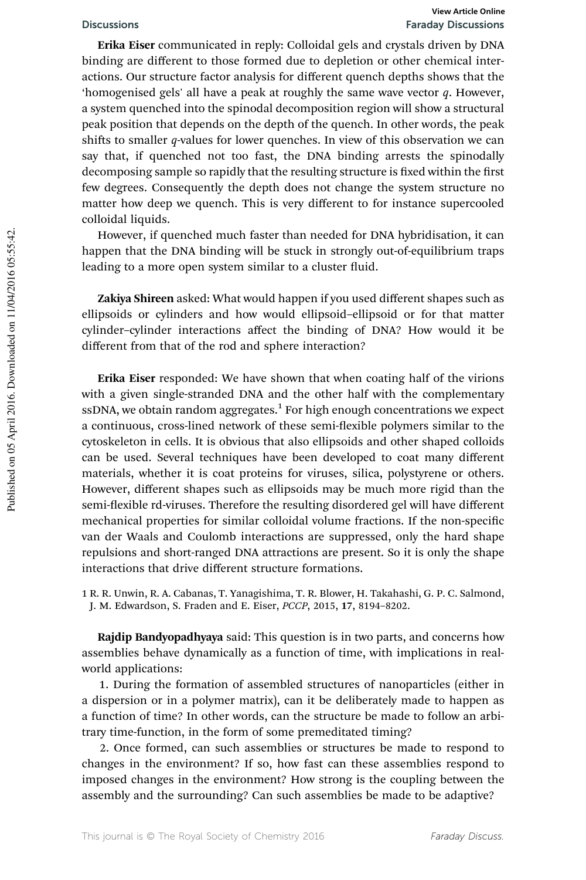Erika Eiser communicated in reply: Colloidal gels and crystals driven by DNA binding are different to those formed due to depletion or other chemical interactions. Our structure factor analysis for different quench depths shows that the 'homogenised gels' all have a peak at roughly the same wave vector *q*. However, a system quenched into the spinodal decomposition region will show a structural peak position that depends on the depth of the quench. In other words, the peak shifts to smaller  $q$ -values for lower quenches. In view of this observation we can say that, if quenched not too fast, the DNA binding arrests the spinodally decomposing sample so rapidly that the resulting structure is fixed within the first few degrees. Consequently the depth does not change the system structure no matter how deep we quench. This is very different to for instance supercooled colloidal liquids.

However, if quenched much faster than needed for DNA hybridisation, it can happen that the DNA binding will be stuck in strongly out-of-equilibrium traps leading to a more open system similar to a cluster fluid.

Zakiya Shireen asked: What would happen if you used different shapes such as ellipsoids or cylinders and how would ellipsoid–ellipsoid or for that matter cylinder–cylinder interactions affect the binding of DNA? How would it be different from that of the rod and sphere interaction?

Erika Eiser responded: We have shown that when coating half of the virions with a given single-stranded DNA and the other half with the complementary ssDNA, we obtain random aggregates. $^{\rm 1}$  For high enough concentrations we expect a continuous, cross-lined network of these semi-flexible polymers similar to the cytoskeleton in cells. It is obvious that also ellipsoids and other shaped colloids can be used. Several techniques have been developed to coat many different materials, whether it is coat proteins for viruses, silica, polystyrene or others. However, different shapes such as ellipsoids may be much more rigid than the semi-flexible rd-viruses. Therefore the resulting disordered gel will have different mechanical properties for similar colloidal volume fractions. If the non-specific van der Waals and Coulomb interactions are suppressed, only the hard shape repulsions and short-ranged DNA attractions are present. So it is only the shape interactions that drive different structure formations.

1 R. R. Unwin, R. A. Cabanas, T. Yanagishima, T. R. Blower, H. Takahashi, G. P. C. Salmond, J. M. Edwardson, S. Fraden and E. Eiser, *PCCP*, 2015, 17, 8194–8202.

Rajdip Bandyopadhyaya said: This question is in two parts, and concerns how assemblies behave dynamically as a function of time, with implications in realworld applications:

1. During the formation of assembled structures of nanoparticles (either in a dispersion or in a polymer matrix), can it be deliberately made to happen as a function of time? In other words, can the structure be made to follow an arbitrary time-function, in the form of some premeditated timing?

2. Once formed, can such assemblies or structures be made to respond to changes in the environment? If so, how fast can these assemblies respond to imposed changes in the environment? How strong is the coupling between the assembly and the surrounding? Can such assemblies be made to be adaptive?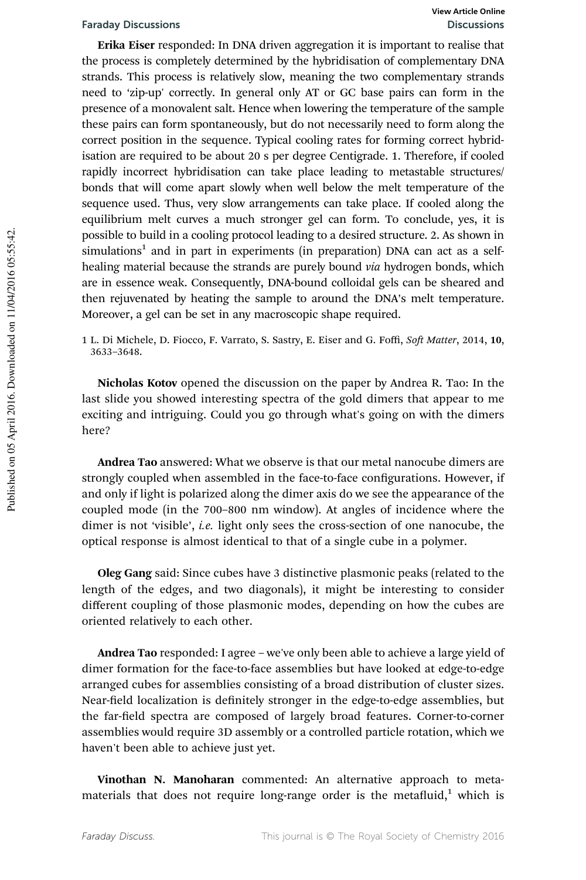Erika Eiser responded: In DNA driven aggregation it is important to realise that the process is completely determined by the hybridisation of complementary DNA strands. This process is relatively slow, meaning the two complementary strands need to 'zip-up' correctly. In general only AT or GC base pairs can form in the presence of a monovalent salt. Hence when lowering the temperature of the sample these pairs can form spontaneously, but do not necessarily need to form along the correct position in the sequence. Typical cooling rates for forming correct hybridisation are required to be about 20 s per degree Centigrade. 1. Therefore, if cooled rapidly incorrect hybridisation can take place leading to metastable structures/ bonds that will come apart slowly when well below the melt temperature of the sequence used. Thus, very slow arrangements can take place. If cooled along the equilibrium melt curves a much stronger gel can form. To conclude, yes, it is possible to build in a cooling protocol leading to a desired structure. 2. As shown in simulations<sup>1</sup> and in part in experiments (in preparation) DNA can act as a selfhealing material because the strands are purely bound *via* hydrogen bonds, which are in essence weak. Consequently, DNA-bound colloidal gels can be sheared and then rejuvenated by heating the sample to around the DNA's melt temperature. Moreover, a gel can be set in any macroscopic shape required.

1 L. Di Michele, D. Fiocco, F. Varrato, S. Sastry, E. Eiser and G. Foffi, *Soft Matter*, 2014, 10, 3633–3648.

Nicholas Kotov opened the discussion on the paper by Andrea R. Tao: In the last slide you showed interesting spectra of the gold dimers that appear to me exciting and intriguing. Could you go through what's going on with the dimers here?

Andrea Tao answered: What we observe is that our metal nanocube dimers are strongly coupled when assembled in the face-to-face configurations. However, if and only if light is polarized along the dimer axis do we see the appearance of the coupled mode (in the 700–800 nm window). At angles of incidence where the dimer is not 'visible', *i.e.* light only sees the cross-section of one nanocube, the optical response is almost identical to that of a single cube in a polymer.

Oleg Gang said: Since cubes have 3 distinctive plasmonic peaks (related to the length of the edges, and two diagonals), it might be interesting to consider different coupling of those plasmonic modes, depending on how the cubes are oriented relatively to each other.

Andrea Tao responded: I agree – we've only been able to achieve a large yield of dimer formation for the face-to-face assemblies but have looked at edge-to-edge arranged cubes for assemblies consisting of a broad distribution of cluster sizes. Near-field localization is definitely stronger in the edge-to-edge assemblies, but the far-field spectra are composed of largely broad features. Corner-to-corner assemblies would require 3D assembly or a controlled particle rotation, which we haven't been able to achieve just yet.

Vinothan N. Manoharan commented: An alternative approach to metamaterials that does not require long-range order is the metafluid, $<sup>1</sup>$  which is</sup>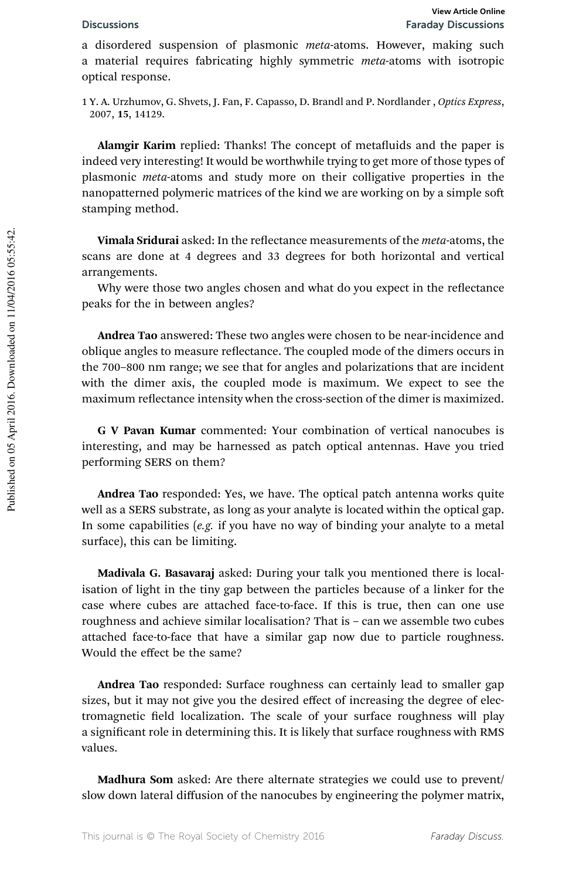a disordered suspension of plasmonic *meta*-atoms. However, making such a material requires fabricating highly symmetric *meta*-atoms with isotropic optical response.

1 Y. A. Urzhumov, G. Shvets, J. Fan, F. Capasso, D. Brandl and P. Nordlander , *Optics Express*, 2007, 15, 14129.

Alamgir Karim replied: Thanks! The concept of metafluids and the paper is indeed very interesting! It would be worthwhile trying to get more of those types of plasmonic *meta*-atoms and study more on their colligative properties in the nanopatterned polymeric matrices of the kind we are working on by a simple so stamping method.

Vimala Sridurai asked: In the reflectance measurements of the *meta*-atoms, the scans are done at 4 degrees and 33 degrees for both horizontal and vertical arrangements.

Why were those two angles chosen and what do you expect in the reflectance peaks for the in between angles?

Andrea Tao answered: These two angles were chosen to be near-incidence and oblique angles to measure reflectance. The coupled mode of the dimers occurs in the 700–800 nm range; we see that for angles and polarizations that are incident with the dimer axis, the coupled mode is maximum. We expect to see the maximum reflectance intensity when the cross-section of the dimer is maximized.

G V Pavan Kumar commented: Your combination of vertical nanocubes is interesting, and may be harnessed as patch optical antennas. Have you tried performing SERS on them?

Andrea Tao responded: Yes, we have. The optical patch antenna works quite well as a SERS substrate, as long as your analyte is located within the optical gap. In some capabilities (*e.g.* if you have no way of binding your analyte to a metal surface), this can be limiting.

Madivala G. Basavaraj asked: During your talk you mentioned there is localisation of light in the tiny gap between the particles because of a linker for the case where cubes are attached face-to-face. If this is true, then can one use roughness and achieve similar localisation? That is – can we assemble two cubes attached face-to-face that have a similar gap now due to particle roughness. Would the effect be the same?

Andrea Tao responded: Surface roughness can certainly lead to smaller gap sizes, but it may not give you the desired effect of increasing the degree of electromagnetic field localization. The scale of your surface roughness will play a significant role in determining this. It is likely that surface roughness with RMS values.

Madhura Som asked: Are there alternate strategies we could use to prevent/ slow down lateral diffusion of the nanocubes by engineering the polymer matrix,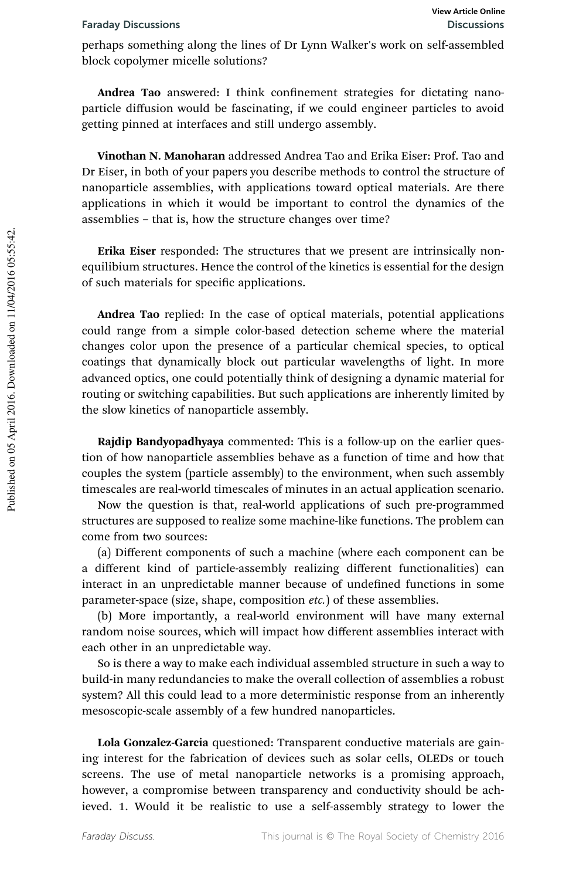perhaps something along the lines of Dr Lynn Walker's work on self-assembled block copolymer micelle solutions?

Andrea Tao answered: I think confinement strategies for dictating nanoparticle diffusion would be fascinating, if we could engineer particles to avoid getting pinned at interfaces and still undergo assembly.

Vinothan N. Manoharan addressed Andrea Tao and Erika Eiser: Prof. Tao and Dr Eiser, in both of your papers you describe methods to control the structure of nanoparticle assemblies, with applications toward optical materials. Are there applications in which it would be important to control the dynamics of the assemblies – that is, how the structure changes over time?

Erika Eiser responded: The structures that we present are intrinsically nonequilibium structures. Hence the control of the kinetics is essential for the design of such materials for specific applications.

Andrea Tao replied: In the case of optical materials, potential applications could range from a simple color-based detection scheme where the material changes color upon the presence of a particular chemical species, to optical coatings that dynamically block out particular wavelengths of light. In more advanced optics, one could potentially think of designing a dynamic material for routing or switching capabilities. But such applications are inherently limited by the slow kinetics of nanoparticle assembly.

Rajdip Bandyopadhyaya commented: This is a follow-up on the earlier question of how nanoparticle assemblies behave as a function of time and how that couples the system (particle assembly) to the environment, when such assembly timescales are real-world timescales of minutes in an actual application scenario.

Now the question is that, real-world applications of such pre-programmed structures are supposed to realize some machine-like functions. The problem can come from two sources:

(a) Different components of such a machine (where each component can be a different kind of particle-assembly realizing different functionalities) can interact in an unpredictable manner because of undefined functions in some parameter-space (size, shape, composition *etc.*) of these assemblies.

(b) More importantly, a real-world environment will have many external random noise sources, which will impact how different assemblies interact with each other in an unpredictable way.

So is there a way to make each individual assembled structure in such a way to build-in many redundancies to make the overall collection of assemblies a robust system? All this could lead to a more deterministic response from an inherently mesoscopic-scale assembly of a few hundred nanoparticles.

Lola Gonzalez-Garcia questioned: Transparent conductive materials are gaining interest for the fabrication of devices such as solar cells, OLEDs or touch screens. The use of metal nanoparticle networks is a promising approach, however, a compromise between transparency and conductivity should be achieved. 1. Would it be realistic to use a self-assembly strategy to lower the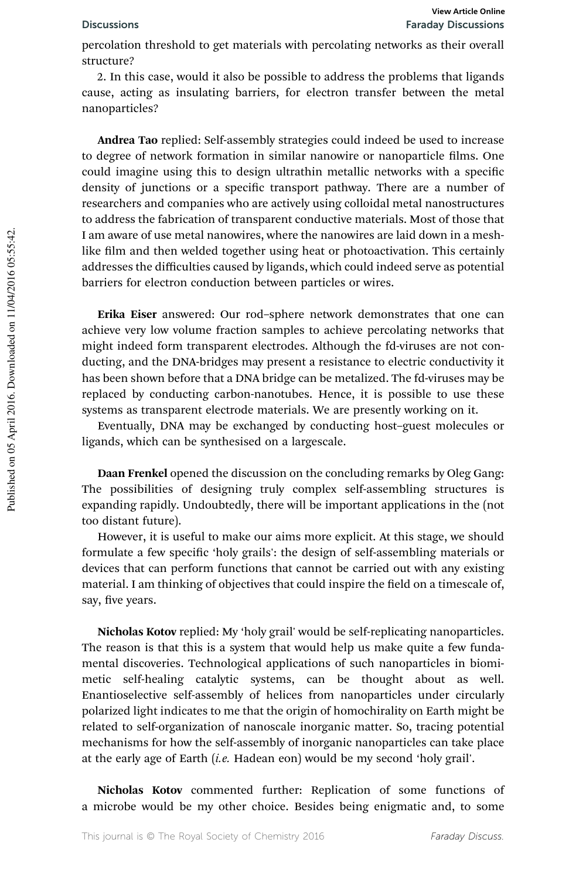percolation threshold to get materials with percolating networks as their overall structure?

2. In this case, would it also be possible to address the problems that ligands cause, acting as insulating barriers, for electron transfer between the metal nanoparticles?

Andrea Tao replied: Self-assembly strategies could indeed be used to increase to degree of network formation in similar nanowire or nanoparticle films. One could imagine using this to design ultrathin metallic networks with a specific density of junctions or a specific transport pathway. There are a number of researchers and companies who are actively using colloidal metal nanostructures to address the fabrication of transparent conductive materials. Most of those that I am aware of use metal nanowires, where the nanowires are laid down in a meshlike film and then welded together using heat or photoactivation. This certainly addresses the difficulties caused by ligands, which could indeed serve as potential barriers for electron conduction between particles or wires.

Erika Eiser answered: Our rod–sphere network demonstrates that one can achieve very low volume fraction samples to achieve percolating networks that might indeed form transparent electrodes. Although the fd-viruses are not conducting, and the DNA-bridges may present a resistance to electric conductivity it has been shown before that a DNA bridge can be metalized. The fd-viruses may be replaced by conducting carbon-nanotubes. Hence, it is possible to use these systems as transparent electrode materials. We are presently working on it.

Eventually, DNA may be exchanged by conducting host–guest molecules or ligands, which can be synthesised on a largescale.

Daan Frenkel opened the discussion on the concluding remarks by Oleg Gang: The possibilities of designing truly complex self-assembling structures is expanding rapidly. Undoubtedly, there will be important applications in the (not too distant future).

However, it is useful to make our aims more explicit. At this stage, we should formulate a few specific 'holy grails': the design of self-assembling materials or devices that can perform functions that cannot be carried out with any existing material. I am thinking of objectives that could inspire the field on a timescale of, say, five years.

Nicholas Kotov replied: My 'holy grail' would be self-replicating nanoparticles. The reason is that this is a system that would help us make quite a few fundamental discoveries. Technological applications of such nanoparticles in biomimetic self-healing catalytic systems, can be thought about as well. Enantioselective self-assembly of helices from nanoparticles under circularly polarized light indicates to me that the origin of homochirality on Earth might be related to self-organization of nanoscale inorganic matter. So, tracing potential mechanisms for how the self-assembly of inorganic nanoparticles can take place at the early age of Earth (*i.e.* Hadean eon) would be my second 'holy grail'.

Nicholas Kotov commented further: Replication of some functions of a microbe would be my other choice. Besides being enigmatic and, to some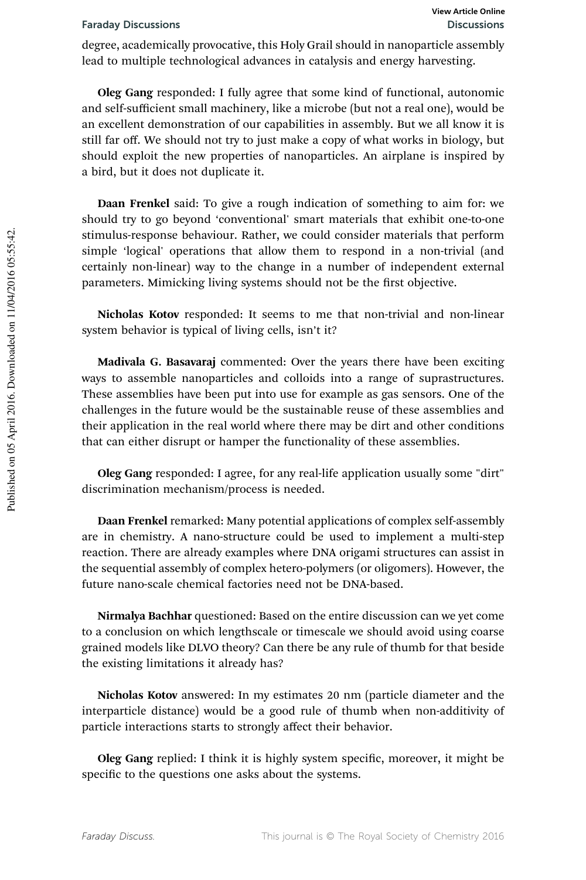degree, academically provocative, this Holy Grail should in nanoparticle assembly lead to multiple technological advances in catalysis and energy harvesting.

Oleg Gang responded: I fully agree that some kind of functional, autonomic and self-sufficient small machinery, like a microbe (but not a real one), would be an excellent demonstration of our capabilities in assembly. But we all know it is still far off. We should not try to just make a copy of what works in biology, but should exploit the new properties of nanoparticles. An airplane is inspired by a bird, but it does not duplicate it.

Daan Frenkel said: To give a rough indication of something to aim for: we should try to go beyond 'conventional' smart materials that exhibit one-to-one stimulus-response behaviour. Rather, we could consider materials that perform simple 'logical' operations that allow them to respond in a non-trivial (and certainly non-linear) way to the change in a number of independent external parameters. Mimicking living systems should not be the first objective.

Nicholas Kotov responded: It seems to me that non-trivial and non-linear system behavior is typical of living cells, isn't it?

Madivala G. Basavaraj commented: Over the years there have been exciting ways to assemble nanoparticles and colloids into a range of suprastructures. These assemblies have been put into use for example as gas sensors. One of the challenges in the future would be the sustainable reuse of these assemblies and their application in the real world where there may be dirt and other conditions that can either disrupt or hamper the functionality of these assemblies.

Oleg Gang responded: I agree, for any real-life application usually some "dirt" discrimination mechanism/process is needed.

Daan Frenkel remarked: Many potential applications of complex self-assembly are in chemistry. A nano-structure could be used to implement a multi-step reaction. There are already examples where DNA origami structures can assist in the sequential assembly of complex hetero-polymers (or oligomers). However, the future nano-scale chemical factories need not be DNA-based.

Nirmalya Bachhar questioned: Based on the entire discussion can we yet come to a conclusion on which lengthscale or timescale we should avoid using coarse grained models like DLVO theory? Can there be any rule of thumb for that beside the existing limitations it already has?

Nicholas Kotov answered: In my estimates 20 nm (particle diameter and the interparticle distance) would be a good rule of thumb when non-additivity of particle interactions starts to strongly affect their behavior.

Oleg Gang replied: I think it is highly system specific, moreover, it might be specific to the questions one asks about the systems.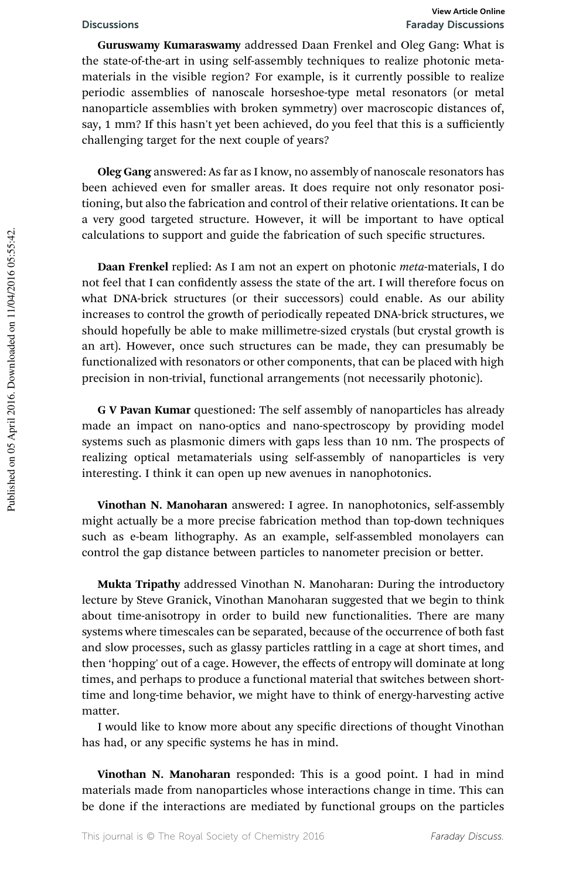# Discussions Faraday Discussions **View Article Online**

Guruswamy Kumaraswamy addressed Daan Frenkel and Oleg Gang: What is the state-of-the-art in using self-assembly techniques to realize photonic metamaterials in the visible region? For example, is it currently possible to realize periodic assemblies of nanoscale horseshoe-type metal resonators (or metal nanoparticle assemblies with broken symmetry) over macroscopic distances of, say, 1 mm? If this hasn't yet been achieved, do you feel that this is a sufficiently challenging target for the next couple of years?

Oleg Gang answered: As far as I know, no assembly of nanoscale resonators has been achieved even for smaller areas. It does require not only resonator positioning, but also the fabrication and control of their relative orientations. It can be a very good targeted structure. However, it will be important to have optical calculations to support and guide the fabrication of such specific structures.

Daan Frenkel replied: As I am not an expert on photonic *meta*-materials, I do not feel that I can confidently assess the state of the art. I will therefore focus on what DNA-brick structures (or their successors) could enable. As our ability increases to control the growth of periodically repeated DNA-brick structures, we should hopefully be able to make millimetre-sized crystals (but crystal growth is an art). However, once such structures can be made, they can presumably be functionalized with resonators or other components, that can be placed with high precision in non-trivial, functional arrangements (not necessarily photonic).

G V Pavan Kumar questioned: The self assembly of nanoparticles has already made an impact on nano-optics and nano-spectroscopy by providing model systems such as plasmonic dimers with gaps less than 10 nm. The prospects of realizing optical metamaterials using self-assembly of nanoparticles is very interesting. I think it can open up new avenues in nanophotonics.

Vinothan N. Manoharan answered: I agree. In nanophotonics, self-assembly might actually be a more precise fabrication method than top-down techniques such as e-beam lithography. As an example, self-assembled monolayers can control the gap distance between particles to nanometer precision or better.

Mukta Tripathy addressed Vinothan N. Manoharan: During the introductory lecture by Steve Granick, Vinothan Manoharan suggested that we begin to think about time-anisotropy in order to build new functionalities. There are many systems where timescales can be separated, because of the occurrence of both fast and slow processes, such as glassy particles rattling in a cage at short times, and then 'hopping' out of a cage. However, the effects of entropy will dominate at long times, and perhaps to produce a functional material that switches between shorttime and long-time behavior, we might have to think of energy-harvesting active matter.

I would like to know more about any specific directions of thought Vinothan has had, or any specific systems he has in mind.

Vinothan N. Manoharan responded: This is a good point. I had in mind materials made from nanoparticles whose interactions change in time. This can be done if the interactions are mediated by functional groups on the particles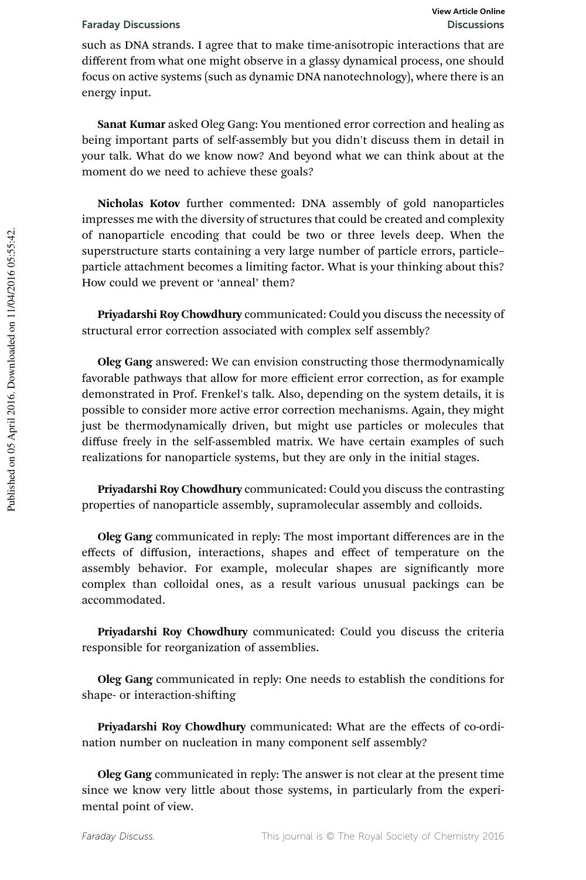such as DNA strands. I agree that to make time-anisotropic interactions that are different from what one might observe in a glassy dynamical process, one should focus on active systems (such as dynamic DNA nanotechnology), where there is an energy input.

Sanat Kumar asked Oleg Gang: You mentioned error correction and healing as being important parts of self-assembly but you didn't discuss them in detail in your talk. What do we know now? And beyond what we can think about at the moment do we need to achieve these goals?

Nicholas Kotov further commented: DNA assembly of gold nanoparticles impresses me with the diversity of structures that could be created and complexity of nanoparticle encoding that could be two or three levels deep. When the superstructure starts containing a very large number of particle errors, particle– particle attachment becomes a limiting factor. What is your thinking about this? How could we prevent or 'anneal' them?

Priyadarshi Roy Chowdhury communicated: Could you discuss the necessity of structural error correction associated with complex self assembly?

Oleg Gang answered: We can envision constructing those thermodynamically favorable pathways that allow for more efficient error correction, as for example demonstrated in Prof. Frenkel's talk. Also, depending on the system details, it is possible to consider more active error correction mechanisms. Again, they might just be thermodynamically driven, but might use particles or molecules that diffuse freely in the self-assembled matrix. We have certain examples of such realizations for nanoparticle systems, but they are only in the initial stages.

Priyadarshi Roy Chowdhury communicated: Could you discuss the contrasting properties of nanoparticle assembly, supramolecular assembly and colloids.

Oleg Gang communicated in reply: The most important differences are in the effects of diffusion, interactions, shapes and effect of temperature on the assembly behavior. For example, molecular shapes are significantly more complex than colloidal ones, as a result various unusual packings can be accommodated.

Priyadarshi Roy Chowdhury communicated: Could you discuss the criteria responsible for reorganization of assemblies.

Oleg Gang communicated in reply: One needs to establish the conditions for shape- or interaction-shifting

Priyadarshi Roy Chowdhury communicated: What are the effects of co-ordination number on nucleation in many component self assembly?

Oleg Gang communicated in reply: The answer is not clear at the present time since we know very little about those systems, in particularly from the experimental point of view.